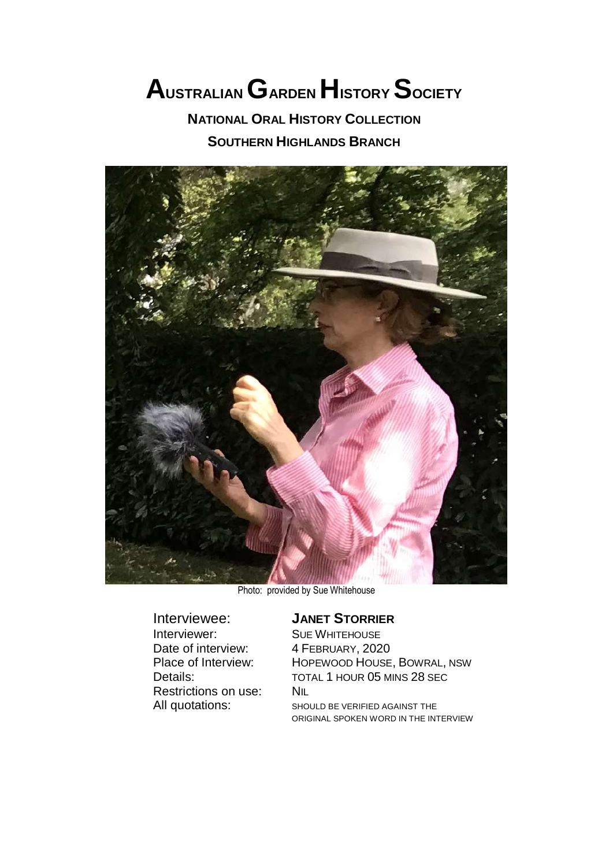# **AUSTRALIANGARDEN HISTORY SOCIETY**

**NATIONAL ORAL HISTORY COLLECTION**

**SOUTHERN HIGHLANDS BRANCH**



Photo: provided by Sue Whitehouse

Interviewer: SUE WHITEHOUSE<br>Date of interview: 4 FEBRUARY, 2020 Date of interview: Restrictions on use: NIL

## Interviewee: **JANET STORRIER**

Place of Interview: HOPEWOOD HOUSE, BOWRAL, NSW Details: TOTAL 1 HOUR 05 MINS 28 SEC All quotations: SHOULD BE VERIFIED AGAINST THE ORIGINAL SPOKEN WORD IN THE INTERVIEW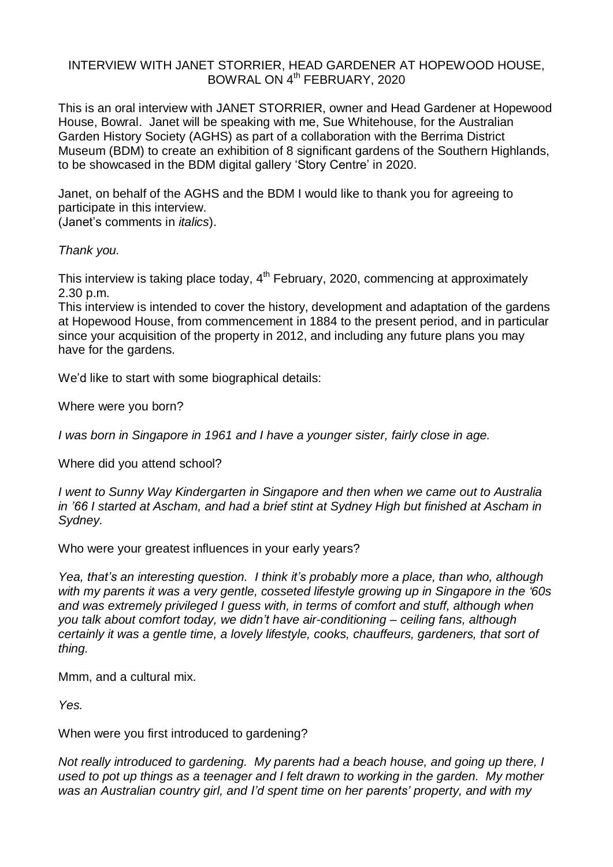### INTERVIEW WITH JANET STORRIER, HEAD GARDENER AT HOPEWOOD HOUSE, BOWRAL ON 4<sup>th</sup> FEBRUARY, 2020

This is an oral interview with JANET STORRIER, owner and Head Gardener at Hopewood House, Bowral. Janet will be speaking with me, Sue Whitehouse, for the Australian Garden History Society (AGHS) as part of a collaboration with the Berrima District Museum (BDM) to create an exhibition of 8 significant gardens of the Southern Highlands, to be showcased in the BDM digital gallery 'Story Centre' in 2020.

Janet, on behalf of the AGHS and the BDM I would like to thank you for agreeing to participate in this interview.

(Janet's comments in *italics*).

## *Thank you.*

This interview is taking place today, 4<sup>th</sup> February, 2020, commencing at approximately 2.30 p.m.

This interview is intended to cover the history, development and adaptation of the gardens at Hopewood House, from commencement in 1884 to the present period, and in particular since your acquisition of the property in 2012, and including any future plans you may have for the gardens.

We'd like to start with some biographical details:

Where were you born?

*I was born in Singapore in 1961 and I have a younger sister, fairly close in age.*

Where did you attend school?

*I went to Sunny Way Kindergarten in Singapore and then when we came out to Australia in '66 I started at Ascham, and had a brief stint at Sydney High but finished at Ascham in Sydney.*

Who were your greatest influences in your early years?

*Yea, that's an interesting question. I think it's probably more a place, than who, although with my parents it was a very gentle, cosseted lifestyle growing up in Singapore in the '60s and was extremely privileged I guess with, in terms of comfort and stuff, although when you talk about comfort today, we didn't have air-conditioning – ceiling fans, although certainly it was a gentle time, a lovely lifestyle, cooks, chauffeurs, gardeners, that sort of thing.*

Mmm, and a cultural mix.

*Yes.*

When were you first introduced to gardening?

*Not really introduced to gardening. My parents had a beach house, and going up there, I used to pot up things as a teenager and I felt drawn to working in the garden. My mother was an Australian country girl, and I'd spent time on her parents' property, and with my*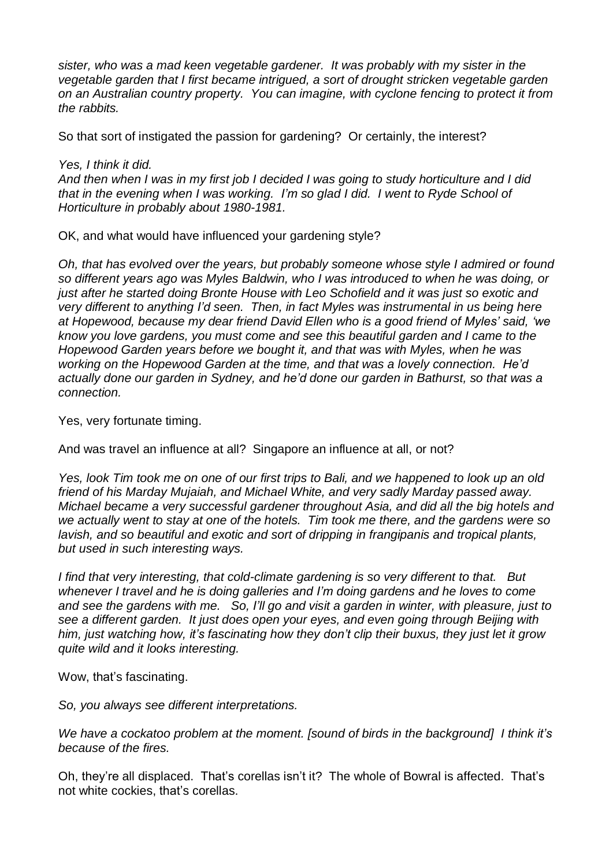*sister, who was a mad keen vegetable gardener. It was probably with my sister in the vegetable garden that I first became intrigued, a sort of drought stricken vegetable garden on an Australian country property. You can imagine, with cyclone fencing to protect it from the rabbits.*

So that sort of instigated the passion for gardening? Or certainly, the interest?

*Yes, I think it did.*

And then when I was in my first job I decided I was going to study horticulture and I did *that in the evening when I was working. I'm so glad I did. I went to Ryde School of Horticulture in probably about 1980-1981.*

OK, and what would have influenced your gardening style?

*Oh, that has evolved over the years, but probably someone whose style I admired or found so different years ago was Myles Baldwin, who I was introduced to when he was doing, or just after he started doing Bronte House with Leo Schofield and it was just so exotic and very different to anything I'd seen. Then, in fact Myles was instrumental in us being here at Hopewood, because my dear friend David Ellen who is a good friend of Myles' said, 'we know you love gardens, you must come and see this beautiful garden and I came to the Hopewood Garden years before we bought it, and that was with Myles, when he was working on the Hopewood Garden at the time, and that was a lovely connection. He'd actually done our garden in Sydney, and he'd done our garden in Bathurst, so that was a connection.*

Yes, very fortunate timing.

And was travel an influence at all? Singapore an influence at all, or not?

Yes, look Tim took me on one of our first trips to Bali, and we happened to look up an old *friend of his Marday Mujaiah, and Michael White, and very sadly Marday passed away. Michael became a very successful gardener throughout Asia, and did all the big hotels and we actually went to stay at one of the hotels. Tim took me there, and the gardens were so lavish, and so beautiful and exotic and sort of dripping in frangipanis and tropical plants, but used in such interesting ways.* 

*I find that very interesting, that cold-climate gardening is so very different to that. But whenever I travel and he is doing galleries and I'm doing gardens and he loves to come and see the gardens with me. So, I'll go and visit a garden in winter, with pleasure, just to see a different garden. It just does open your eyes, and even going through Beijing with him, just watching how, it's fascinating how they don't clip their buxus, they just let it grow quite wild and it looks interesting.*

Wow, that's fascinating.

*So, you always see different interpretations.*

*We have a cockatoo problem at the moment. [sound of birds in the background] I think it's because of the fires.*

Oh, they're all displaced. That's corellas isn't it? The whole of Bowral is affected. That's not white cockies, that's corellas.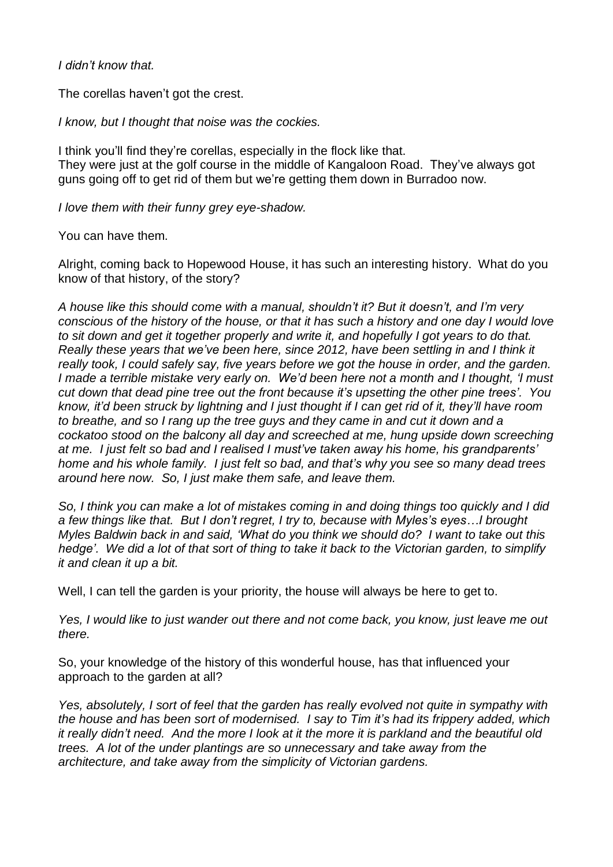*I didn't know that.*

The corellas haven't got the crest.

*I know, but I thought that noise was the cockies.*

I think you'll find they're corellas, especially in the flock like that. They were just at the golf course in the middle of Kangaloon Road. They've always got guns going off to get rid of them but we're getting them down in Burradoo now.

*I love them with their funny grey eye-shadow.*

You can have them.

Alright, coming back to Hopewood House, it has such an interesting history. What do you know of that history, of the story?

*A house like this should come with a manual, shouldn't it? But it doesn't, and I'm very* conscious of the history of the house, or that it has such a history and one day I would love to sit down and get it together properly and write it, and hopefully I got years to do that. *Really these years that we've been here, since 2012, have been settling in and I think it really took, I could safely say, five years before we got the house in order, and the garden. I made a terrible mistake very early on. We'd been here not a month and I thought, 'I must cut down that dead pine tree out the front because it's upsetting the other pine trees'. You* know, it'd been struck by lightning and I just thought if I can get rid of it, they'll have room *to breathe, and so I rang up the tree guys and they came in and cut it down and a cockatoo stood on the balcony all day and screeched at me, hung upside down screeching at me. I just felt so bad and I realised I must've taken away his home, his grandparents' home and his whole family. I just felt so bad, and that's why you see so many dead trees around here now. So, I just make them safe, and leave them.*

So, I think you can make a lot of mistakes coming in and doing things too guickly and I did *a few things like that. But I don't regret, I try to, because with Myles's eyes…I brought Myles Baldwin back in and said, 'What do you think we should do? I want to take out this* hedge'. We did a lot of that sort of thing to take it back to the Victorian garden, to simplify *it and clean it up a bit.*

Well, I can tell the garden is your priority, the house will always be here to get to.

*Yes, I would like to just wander out there and not come back, you know, just leave me out there.*

So, your knowledge of the history of this wonderful house, has that influenced your approach to the garden at all?

*Yes, absolutely, I sort of feel that the garden has really evolved not quite in sympathy with the house and has been sort of modernised. I say to Tim it's had its frippery added, which* it really didn't need. And the more I look at it the more it is parkland and the beautiful old *trees. A lot of the under plantings are so unnecessary and take away from the architecture, and take away from the simplicity of Victorian gardens.*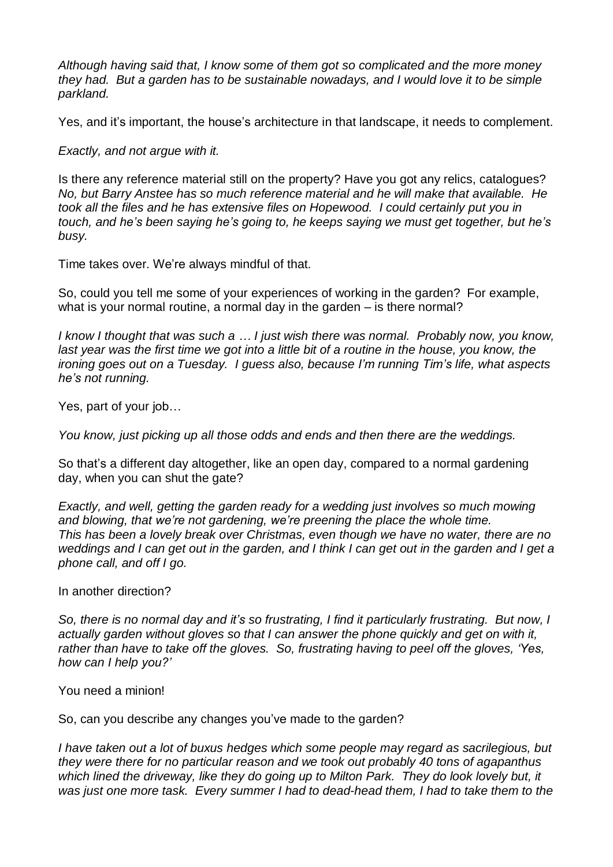*Although having said that, I know some of them got so complicated and the more money they had. But a garden has to be sustainable nowadays, and I would love it to be simple parkland.*

Yes, and it's important, the house's architecture in that landscape, it needs to complement.

*Exactly, and not argue with it.*

Is there any reference material still on the property? Have you got any relics, catalogues? *No, but Barry Anstee has so much reference material and he will make that available. He took all the files and he has extensive files on Hopewood. I could certainly put you in touch, and he's been saying he's going to, he keeps saying we must get together, but he's busy.*

Time takes over. We're always mindful of that.

So, could you tell me some of your experiences of working in the garden? For example, what is your normal routine, a normal day in the garden – is there normal?

*I know I thought that was such a … I just wish there was normal. Probably now, you know,* last year was the first time we got into a little bit of a routine in the house, you know, the *ironing goes out on a Tuesday. I guess also, because I'm running Tim's life, what aspects he's not running.*

Yes, part of your job…

*You know, just picking up all those odds and ends and then there are the weddings.*

So that's a different day altogether, like an open day, compared to a normal gardening day, when you can shut the gate?

*Exactly, and well, getting the garden ready for a wedding just involves so much mowing and blowing, that we're not gardening, we're preening the place the whole time. This has been a lovely break over Christmas, even though we have no water, there are no* weddings and I can get out in the garden, and I think I can get out in the garden and I get a *phone call, and off I go.*

In another direction?

*So, there is no normal day and it's so frustrating, I find it particularly frustrating. But now, I actually garden without gloves so that I can answer the phone quickly and get on with it, rather than have to take off the gloves. So, frustrating having to peel off the gloves, 'Yes, how can I help you?'*

You need a minion!

So, can you describe any changes you've made to the garden?

*I have taken out a lot of buxus hedges which some people may regard as sacrilegious, but they were there for no particular reason and we took out probably 40 tons of agapanthus which lined the driveway, like they do going up to Milton Park. They do look lovely but, it was just one more task. Every summer I had to dead-head them, I had to take them to the*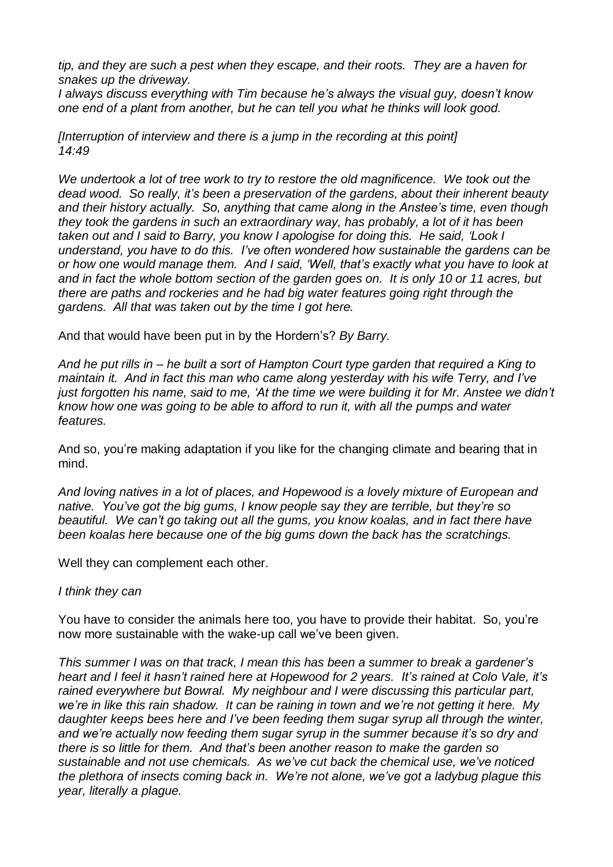*tip, and they are such a pest when they escape, and their roots. They are a haven for snakes up the driveway.*

*I always discuss everything with Tim because he's always the visual guy, doesn't know one end of a plant from another, but he can tell you what he thinks will look good.*

*[Interruption of interview and there is a jump in the recording at this point] 14:49*

*We undertook a lot of tree work to try to restore the old magnificence. We took out the dead wood. So really, it's been a preservation of the gardens, about their inherent beauty and their history actually. So, anything that came along in the Anstee's time, even though they took the gardens in such an extraordinary way, has probably, a lot of it has been taken out and I said to Barry, you know I apologise for doing this. He said, 'Look I understand, you have to do this. I've often wondered how sustainable the gardens can be or how one would manage them. And I said, 'Well, that's exactly what you have to look at and in fact the whole bottom section of the garden goes on. It is only 10 or 11 acres, but there are paths and rockeries and he had big water features going right through the gardens. All that was taken out by the time I got here.*

And that would have been put in by the Hordern's? *By Barry.* 

And he put rills in – he built a sort of Hampton Court type garden that required a King to *maintain it. And in fact this man who came along yesterday with his wife Terry, and I've* just forgotten his name, said to me, 'At the time we were building it for Mr. Anstee we didn't *know how one was going to be able to afford to run it, with all the pumps and water features.*

And so, you're making adaptation if you like for the changing climate and bearing that in mind.

*And loving natives in a lot of places, and Hopewood is a lovely mixture of European and native. You've got the big gums, I know people say they are terrible, but they're so beautiful. We can't go taking out all the gums, you know koalas, and in fact there have been koalas here because one of the big gums down the back has the scratchings.*

Well they can complement each other.

#### *I think they can*

You have to consider the animals here too, you have to provide their habitat. So, you're now more sustainable with the wake-up call we've been given.

*This summer I was on that track, I mean this has been a summer to break a gardener's heart and I feel it hasn't rained here at Hopewood for 2 years. It's rained at Colo Vale, it's rained everywhere but Bowral. My neighbour and I were discussing this particular part, we're in like this rain shadow. It can be raining in town and we're not getting it here. My daughter keeps bees here and I've been feeding them sugar syrup all through the winter, and we're actually now feeding them sugar syrup in the summer because it's so dry and there is so little for them. And that's been another reason to make the garden so sustainable and not use chemicals. As we've cut back the chemical use, we've noticed the plethora of insects coming back in. We're not alone, we've got a ladybug plague this year, literally a plague.*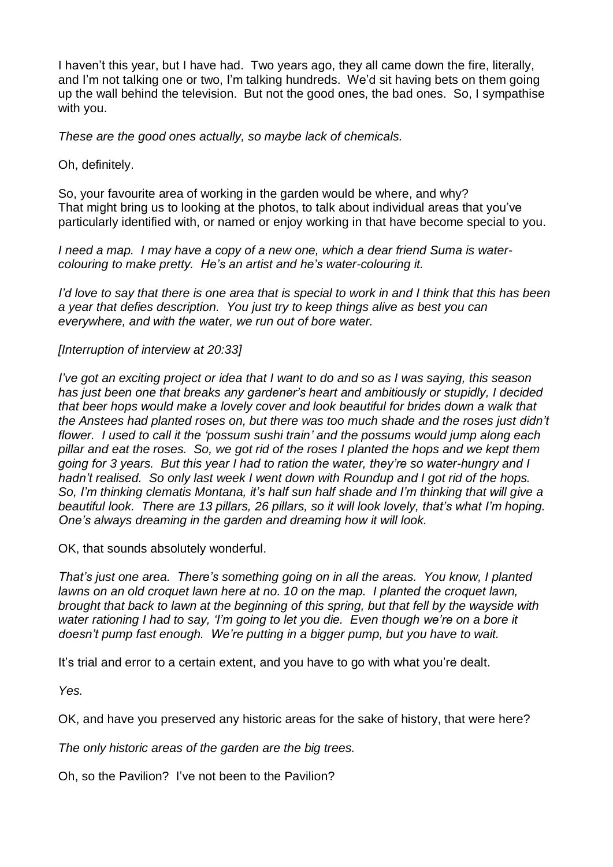I haven't this year, but I have had. Two years ago, they all came down the fire, literally, and I'm not talking one or two, I'm talking hundreds. We'd sit having bets on them going up the wall behind the television. But not the good ones, the bad ones. So, I sympathise with you.

*These are the good ones actually, so maybe lack of chemicals.*

Oh, definitely.

So, your favourite area of working in the garden would be where, and why? That might bring us to looking at the photos, to talk about individual areas that you've particularly identified with, or named or enjoy working in that have become special to you.

*I need a map. I may have a copy of a new one, which a dear friend Suma is watercolouring to make pretty. He's an artist and he's water-colouring it.*

I'd love to say that there is one area that is special to work in and I think that this has been *a year that defies description. You just try to keep things alive as best you can everywhere, and with the water, we run out of bore water.*

#### *[Interruption of interview at 20:33]*

I've got an exciting project or idea that I want to do and so as I was saying, this season *has just been one that breaks any gardener's heart and ambitiously or stupidly, I decided that beer hops would make a lovely cover and look beautiful for brides down a walk that the Anstees had planted roses on, but there was too much shade and the roses just didn't flower. I used to call it the 'possum sushi train' and the possums would jump along each pillar and eat the roses. So, we got rid of the roses I planted the hops and we kept them going for 3 years. But this year I had to ration the water, they're so water-hungry and I hadn't realised. So only last week I went down with Roundup and I got rid of the hops. So, I'm thinking clematis Montana, it's half sun half shade and I'm thinking that will give a beautiful look. There are 13 pillars, 26 pillars, so it will look lovely, that's what I'm hoping. One's always dreaming in the garden and dreaming how it will look.*

OK, that sounds absolutely wonderful.

*That's just one area. There's something going on in all the areas. You know, I planted lawns on an old croquet lawn here at no. 10 on the map. I planted the croquet lawn, brought that back to lawn at the beginning of this spring, but that fell by the wayside with water rationing I had to say, 'I'm going to let you die. Even though we're on a bore it doesn't pump fast enough. We're putting in a bigger pump, but you have to wait.*

It's trial and error to a certain extent, and you have to go with what you're dealt.

*Yes.*

OK, and have you preserved any historic areas for the sake of history, that were here?

*The only historic areas of the garden are the big trees.*

Oh, so the Pavilion? I've not been to the Pavilion?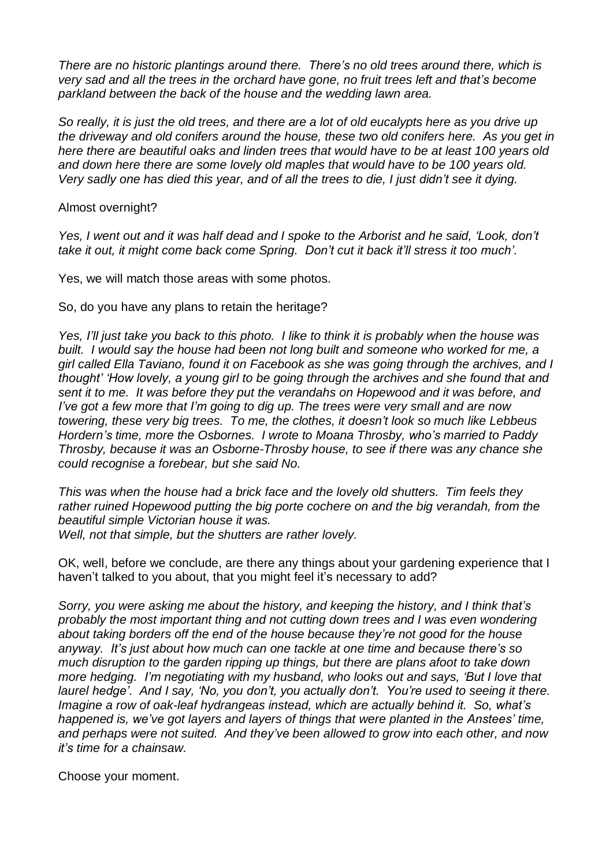*There are no historic plantings around there. There's no old trees around there, which is very sad and all the trees in the orchard have gone, no fruit trees left and that's become parkland between the back of the house and the wedding lawn area.* 

So really, it is just the old trees, and there are a lot of old eucalypts here as you drive up *the driveway and old conifers around the house, these two old conifers here. As you get in here there are beautiful oaks and linden trees that would have to be at least 100 years old and down here there are some lovely old maples that would have to be 100 years old.*  Very sadly one has died this year, and of all the trees to die, I just didn't see it dying.

Almost overnight?

Yes, I went out and it was half dead and I spoke to the Arborist and he said, 'Look, don't *take it out, it might come back come Spring. Don't cut it back it'll stress it too much'.*

Yes, we will match those areas with some photos.

So, do you have any plans to retain the heritage?

Yes, I'll just take you back to this photo. I like to think it is probably when the house was *built. I would say the house had been not long built and someone who worked for me, a girl called Ella Taviano, found it on Facebook as she was going through the archives, and I thought' 'How lovely, a young girl to be going through the archives and she found that and sent it to me. It was before they put the verandahs on Hopewood and it was before, and I've got a few more that I'm going to dig up. The trees were very small and are now towering, these very big trees. To me, the clothes, it doesn't look so much like Lebbeus Hordern's time, more the Osbornes. I wrote to Moana Throsby, who's married to Paddy Throsby, because it was an Osborne-Throsby house, to see if there was any chance she could recognise a forebear, but she said No.*

*This was when the house had a brick face and the lovely old shutters. Tim feels they rather ruined Hopewood putting the big porte cochere on and the big verandah, from the beautiful simple Victorian house it was.*

*Well, not that simple, but the shutters are rather lovely.*

OK, well, before we conclude, are there any things about your gardening experience that I haven't talked to you about, that you might feel it's necessary to add?

*Sorry, you were asking me about the history, and keeping the history, and I think that's probably the most important thing and not cutting down trees and I was even wondering about taking borders off the end of the house because they're not good for the house anyway. It's just about how much can one tackle at one time and because there's so much disruption to the garden ripping up things, but there are plans afoot to take down more hedging. I'm negotiating with my husband, who looks out and says, 'But I love that laurel hedge'. And I say, 'No, you don't, you actually don't. You're used to seeing it there. Imagine a row of oak-leaf hydrangeas instead, which are actually behind it. So, what's happened is, we've got layers and layers of things that were planted in the Anstees' time, and perhaps were not suited. And they've been allowed to grow into each other, and now it's time for a chainsaw.*

Choose your moment.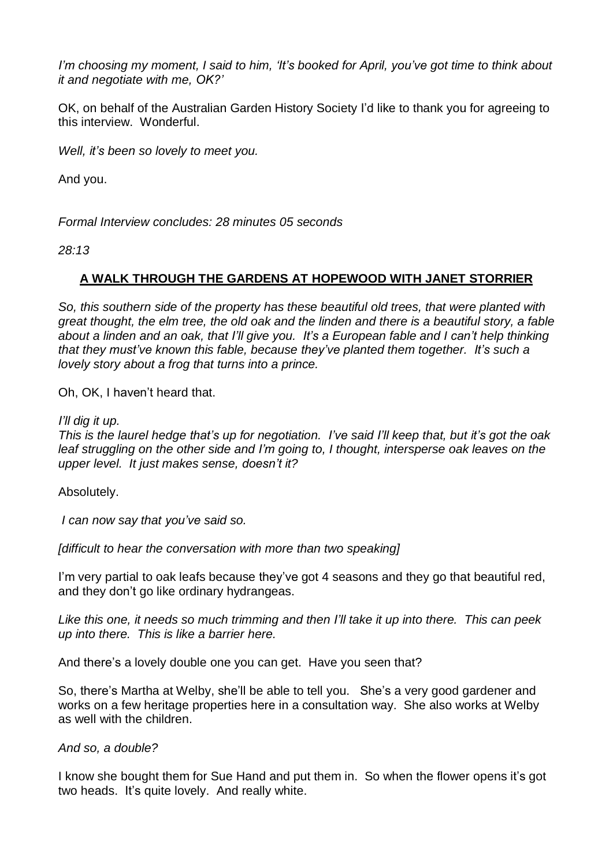*I'm choosing my moment, I said to him, 'It's booked for April, you've got time to think about it and negotiate with me, OK?'*

OK, on behalf of the Australian Garden History Society I'd like to thank you for agreeing to this interview. Wonderful.

*Well, it's been so lovely to meet you.*

And you.

*Formal Interview concludes: 28 minutes 05 seconds*

*28:13*

## **A WALK THROUGH THE GARDENS AT HOPEWOOD WITH JANET STORRIER**

*So, this southern side of the property has these beautiful old trees, that were planted with* great thought, the elm tree, the old oak and the linden and there is a beautiful story, a fable *about a linden and an oak, that I'll give you. It's a European fable and I can't help thinking that they must've known this fable, because they've planted them together. It's such a lovely story about a frog that turns into a prince.*

Oh, OK, I haven't heard that.

*I'll dig it up.*

*This is the laurel hedge that's up for negotiation. I've said I'll keep that, but it's got the oak leaf struggling on the other side and I'm going to, I thought, intersperse oak leaves on the upper level. It just makes sense, doesn't it?*

Absolutely.

*I can now say that you've said so.*

*[difficult to hear the conversation with more than two speaking]*

I'm very partial to oak leafs because they've got 4 seasons and they go that beautiful red, and they don't go like ordinary hydrangeas.

*Like this one, it needs so much trimming and then I'll take it up into there. This can peek up into there. This is like a barrier here.*

And there's a lovely double one you can get. Have you seen that?

So, there's Martha at Welby, she'll be able to tell you. She's a very good gardener and works on a few heritage properties here in a consultation way. She also works at Welby as well with the children.

*And so, a double?*

I know she bought them for Sue Hand and put them in. So when the flower opens it's got two heads. It's quite lovely. And really white.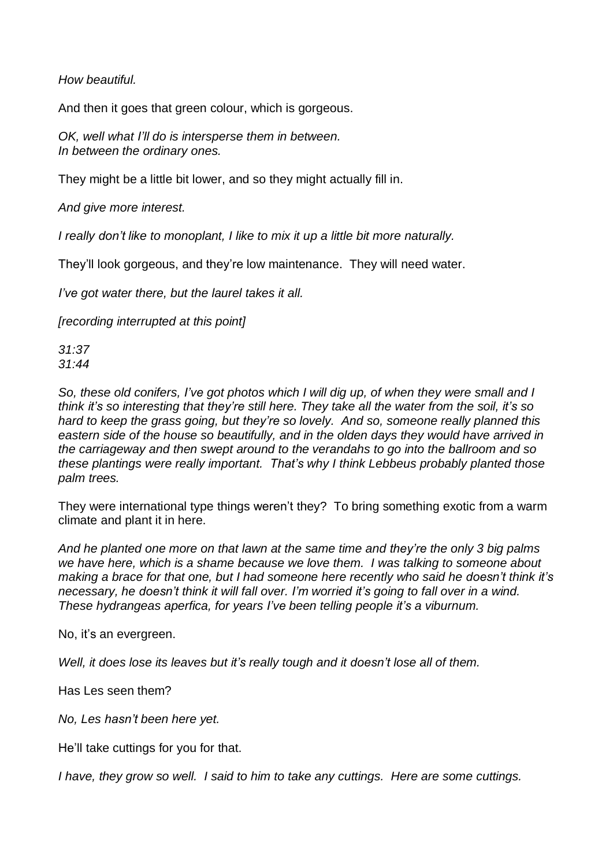*How beautiful.*

And then it goes that green colour, which is gorgeous.

*OK, well what I'll do is intersperse them in between. In between the ordinary ones.*

They might be a little bit lower, and so they might actually fill in.

*And give more interest.*

*I really don't like to monoplant, I like to mix it up a little bit more naturally.*

They'll look gorgeous, and they're low maintenance. They will need water.

*I've got water there, but the laurel takes it all.*

*[recording interrupted at this point]*

*31:37 31:44*

*So, these old conifers, I've got photos which I will dig up, of when they were small and I think it's so interesting that they're still here. They take all the water from the soil, it's so hard to keep the grass going, but they're so lovely. And so, someone really planned this eastern side of the house so beautifully, and in the olden days they would have arrived in the carriageway and then swept around to the verandahs to go into the ballroom and so these plantings were really important. That's why I think Lebbeus probably planted those palm trees.*

They were international type things weren't they? To bring something exotic from a warm climate and plant it in here.

*And he planted one more on that lawn at the same time and they're the only 3 big palms we have here, which is a shame because we love them. I was talking to someone about making a brace for that one, but I had someone here recently who said he doesn't think it's necessary, he doesn't think it will fall over. I'm worried it's going to fall over in a wind. These hydrangeas aperfica, for years I've been telling people it's a viburnum.*

No, it's an evergreen.

*Well, it does lose its leaves but it's really tough and it doesn't lose all of them.*

Has Les seen them?

*No, Les hasn't been here yet.*

He'll take cuttings for you for that.

*I have, they grow so well. I said to him to take any cuttings. Here are some cuttings.*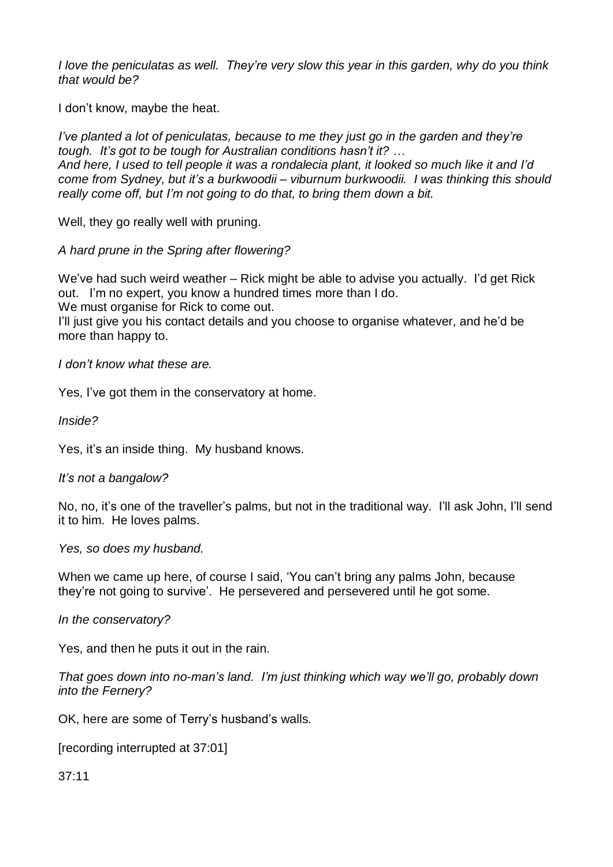*I love the peniculatas as well. They're very slow this year in this garden, why do you think that would be?*

I don't know, maybe the heat.

*I've planted a lot of peniculatas, because to me they just go in the garden and they're tough. It's got to be tough for Australian conditions hasn't it? …* And here, I used to tell people it was a rondalecia plant, it looked so much like it and I'd *come from Sydney, but it's a burkwoodii – viburnum burkwoodii. I was thinking this should really come off, but I'm not going to do that, to bring them down a bit.*

Well, they go really well with pruning.

*A hard prune in the Spring after flowering?*

We've had such weird weather – Rick might be able to advise you actually. I'd get Rick out. I'm no expert, you know a hundred times more than I do. We must organise for Rick to come out.

I'll just give you his contact details and you choose to organise whatever, and he'd be more than happy to.

*I don't know what these are.*

Yes, I've got them in the conservatory at home.

*Inside?*

Yes, it's an inside thing. My husband knows.

*It's not a bangalow?*

No, no, it's one of the traveller's palms, but not in the traditional way. I'll ask John, I'll send it to him. He loves palms.

*Yes, so does my husband.*

When we came up here, of course I said, 'You can't bring any palms John, because they're not going to survive'. He persevered and persevered until he got some.

*In the conservatory?*

Yes, and then he puts it out in the rain.

*That goes down into no-man's land. I'm just thinking which way we'll go, probably down into the Fernery?*

OK, here are some of Terry's husband's walls.

[recording interrupted at 37:01]

37:11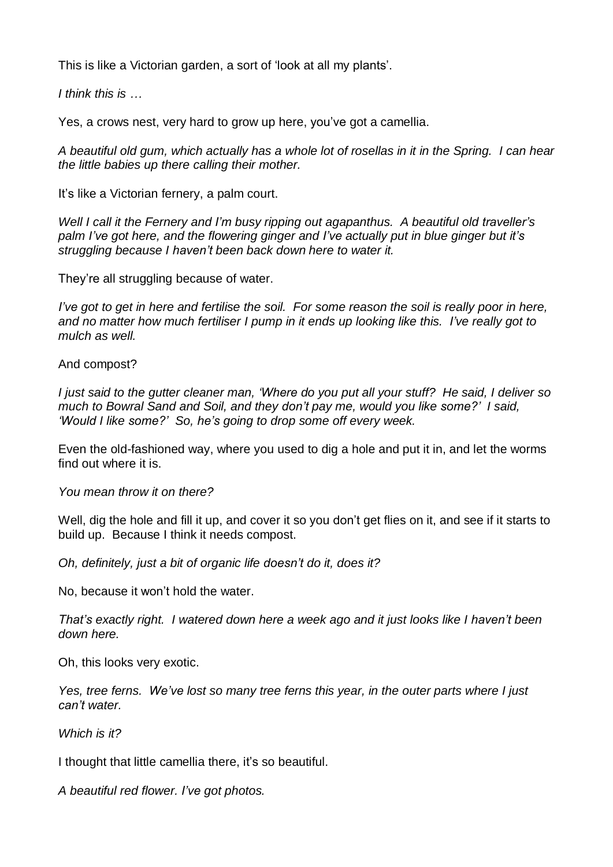This is like a Victorian garden, a sort of 'look at all my plants'.

*I think this is …*

Yes, a crows nest, very hard to grow up here, you've got a camellia.

A beautiful old gum, which actually has a whole lot of rosellas in it in the Spring. I can hear *the little babies up there calling their mother.*

It's like a Victorian fernery, a palm court.

*Well I call it the Fernery and I'm busy ripping out agapanthus. A beautiful old traveller's palm I've got here, and the flowering ginger and I've actually put in blue ginger but it's struggling because I haven't been back down here to water it.*

They're all struggling because of water.

I've got to get in here and fertilise the soil. For some reason the soil is really poor in here, *and no matter how much fertiliser I pump in it ends up looking like this. I've really got to mulch as well.*

And compost?

I just said to the gutter cleaner man, 'Where do you put all your stuff? He said, I deliver so *much to Bowral Sand and Soil, and they don't pay me, would you like some?' I said, 'Would I like some?' So, he's going to drop some off every week.*

Even the old-fashioned way, where you used to dig a hole and put it in, and let the worms find out where it is.

*You mean throw it on there?*

Well, dig the hole and fill it up, and cover it so you don't get flies on it, and see if it starts to build up. Because I think it needs compost.

*Oh, definitely, just a bit of organic life doesn't do it, does it?*

No, because it won't hold the water.

*That's exactly right. I watered down here a week ago and it just looks like I haven't been down here.*

Oh, this looks very exotic.

*Yes, tree ferns. We've lost so many tree ferns this year, in the outer parts where I just can't water.*

*Which is it?*

I thought that little camellia there, it's so beautiful.

*A beautiful red flower. I've got photos.*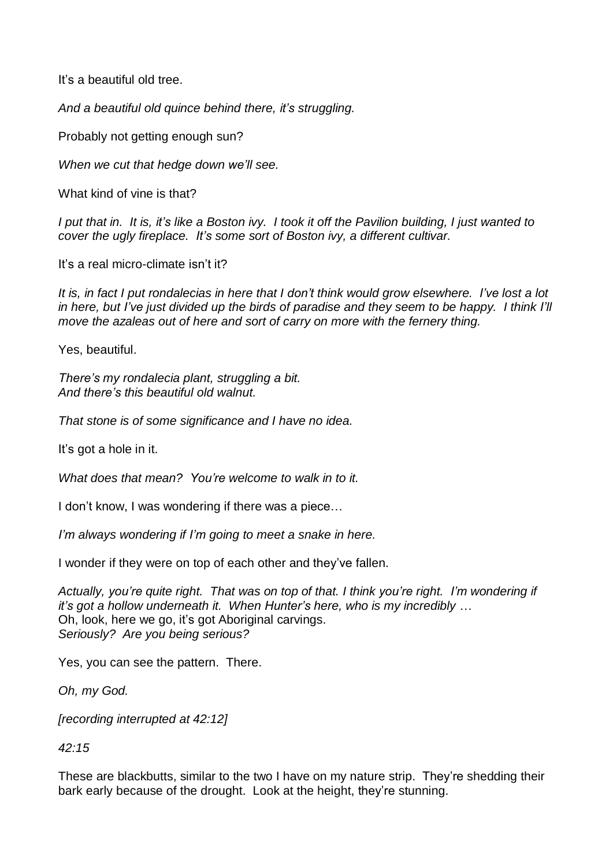It's a beautiful old tree.

*And a beautiful old quince behind there, it's struggling.*

Probably not getting enough sun?

*When we cut that hedge down we'll see.*

What kind of vine is that?

I put that in. It is, it's like a Boston ivy. I took it off the Pavilion building. I just wanted to *cover the ugly fireplace. It's some sort of Boston ivy, a different cultivar.*

It's a real micro-climate isn't it?

It is, in fact I put rondalecias in here that I don't think would grow elsewhere. I've lost a lot in here, but I've just divided up the birds of paradise and they seem to be happy. I think I'll *move the azaleas out of here and sort of carry on more with the fernery thing.*

Yes, beautiful.

*There's my rondalecia plant, struggling a bit. And there's this beautiful old walnut.*

*That stone is of some significance and I have no idea.*

It's got a hole in it.

*What does that mean? You're welcome to walk in to it.*

I don't know, I was wondering if there was a piece…

*I'm always wondering if I'm going to meet a snake in here.*

I wonder if they were on top of each other and they've fallen.

*Actually, you're quite right. That was on top of that. I think you're right. I'm wondering if it's got a hollow underneath it. When Hunter's here, who is my incredibly …* Oh, look, here we go, it's got Aboriginal carvings. *Seriously? Are you being serious?*

Yes, you can see the pattern. There.

*Oh, my God.*

*[recording interrupted at 42:12]*

*42:15*

These are blackbutts, similar to the two I have on my nature strip. They're shedding their bark early because of the drought. Look at the height, they're stunning.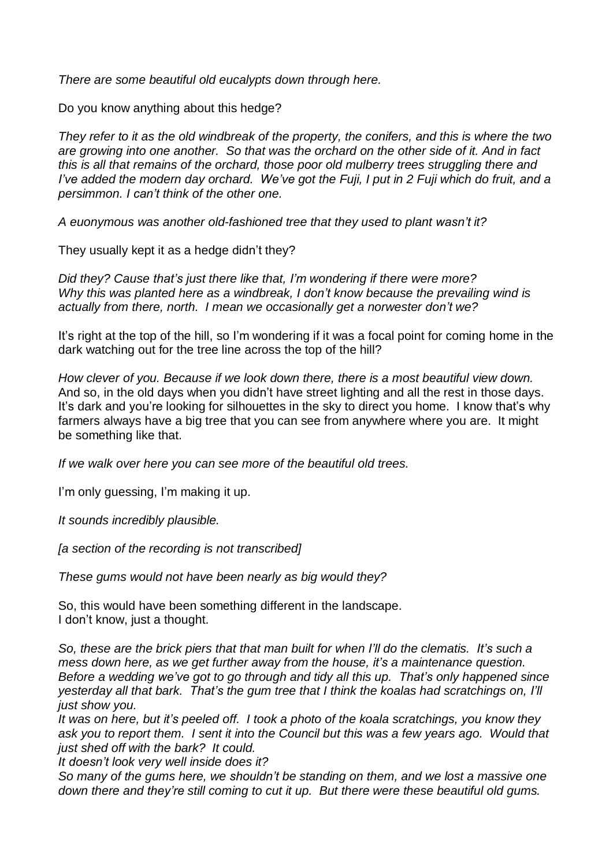*There are some beautiful old eucalypts down through here.*

Do you know anything about this hedge?

They refer to it as the old windbreak of the property, the conifers, and this is where the two *are growing into one another. So that was the orchard on the other side of it. And in fact this is all that remains of the orchard, those poor old mulberry trees struggling there and* I've added the modern day orchard. We've got the Fuji, I put in 2 Fuji which do fruit, and a *persimmon. I can't think of the other one.*

*A euonymous was another old-fashioned tree that they used to plant wasn't it?*

They usually kept it as a hedge didn't they?

*Did they? Cause that's just there like that, I'm wondering if there were more? Why this was planted here as a windbreak, I don't know because the prevailing wind is actually from there, north. I mean we occasionally get a norwester don't we?*

It's right at the top of the hill, so I'm wondering if it was a focal point for coming home in the dark watching out for the tree line across the top of the hill?

*How clever of you. Because if we look down there, there is a most beautiful view down.* And so, in the old days when you didn't have street lighting and all the rest in those days. It's dark and you're looking for silhouettes in the sky to direct you home. I know that's why farmers always have a big tree that you can see from anywhere where you are. It might be something like that.

*If we walk over here you can see more of the beautiful old trees.*

I'm only guessing, I'm making it up.

*It sounds incredibly plausible.*

*[a section of the recording is not transcribed]*

*These gums would not have been nearly as big would they?*

So, this would have been something different in the landscape. I don't know, just a thought.

*So, these are the brick piers that that man built for when I'll do the clematis. It's such a mess down here, as we get further away from the house, it's a maintenance question. Before a wedding we've got to go through and tidy all this up. That's only happened since yesterday all that bark. That's the gum tree that I think the koalas had scratchings on, I'll just show you.*

*It was on here, but it's peeled off. I took a photo of the koala scratchings, you know they ask you to report them. I sent it into the Council but this was a few years ago. Would that just shed off with the bark? It could.*

*It doesn't look very well inside does it?*

*So many of the gums here, we shouldn't be standing on them, and we lost a massive one down there and they're still coming to cut it up. But there were these beautiful old gums.*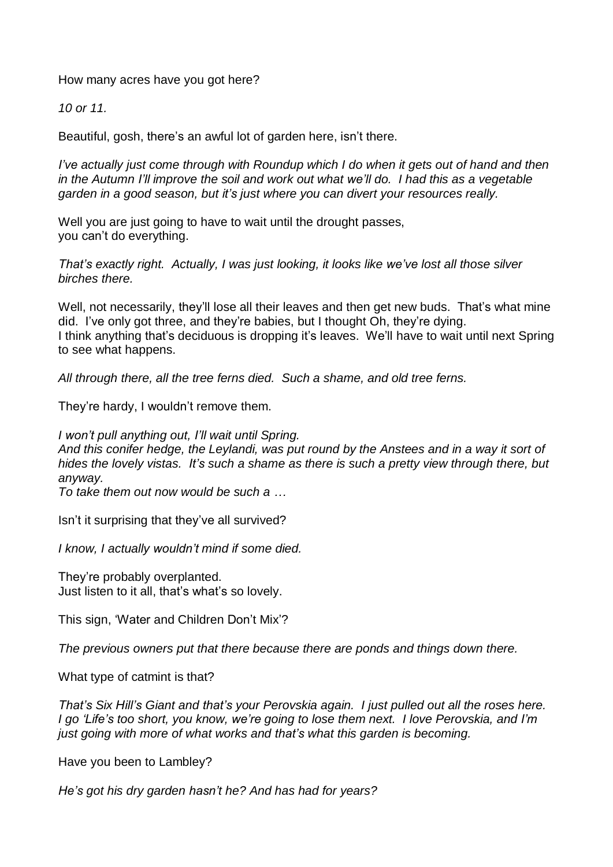How many acres have you got here?

*10 or 11.*

Beautiful, gosh, there's an awful lot of garden here, isn't there.

*I've actually just come through with Roundup which I do when it gets out of hand and then in the Autumn I'll improve the soil and work out what we'll do. I had this as a vegetable garden in a good season, but it's just where you can divert your resources really.*

Well you are just going to have to wait until the drought passes, you can't do everything.

*That's exactly right. Actually, I was just looking, it looks like we've lost all those silver birches there.*

Well, not necessarily, they'll lose all their leaves and then get new buds. That's what mine did. I've only got three, and they're babies, but I thought Oh, they're dying. I think anything that's deciduous is dropping it's leaves. We'll have to wait until next Spring to see what happens.

*All through there, all the tree ferns died. Such a shame, and old tree ferns.*

They're hardy, I wouldn't remove them.

*I won't pull anything out, I'll wait until Spring.*

*And this conifer hedge, the Leylandi, was put round by the Anstees and in a way it sort of hides the lovely vistas. It's such a shame as there is such a pretty view through there, but anyway.*

*To take them out now would be such a …*

Isn't it surprising that they've all survived?

*I know, I actually wouldn't mind if some died.*

They're probably overplanted. Just listen to it all, that's what's so lovely.

This sign, 'Water and Children Don't Mix'?

*The previous owners put that there because there are ponds and things down there.*

What type of catmint is that?

*That's Six Hill's Giant and that's your Perovskia again. I just pulled out all the roses here. I go 'Life's too short, you know, we're going to lose them next. I love Perovskia, and I'm just going with more of what works and that's what this garden is becoming.*

Have you been to Lambley?

*He's got his dry garden hasn't he? And has had for years?*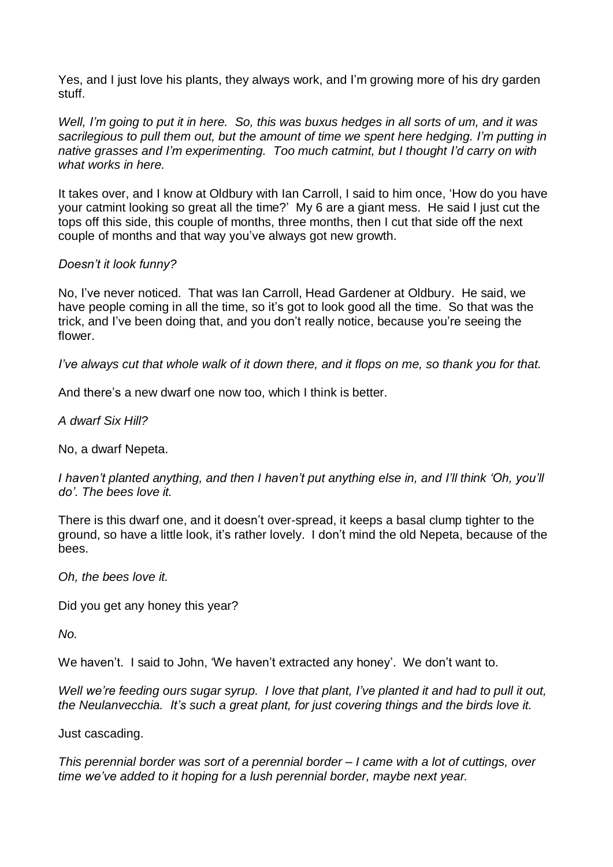Yes, and I just love his plants, they always work, and I'm growing more of his dry garden stuff.

Well, I'm going to put it in here. So, this was buxus hedges in all sorts of um, and it was *sacrilegious to pull them out, but the amount of time we spent here hedging. I'm putting in native grasses and I'm experimenting. Too much catmint, but I thought I'd carry on with what works in here.*

It takes over, and I know at Oldbury with Ian Carroll, I said to him once, 'How do you have your catmint looking so great all the time?' My 6 are a giant mess. He said I just cut the tops off this side, this couple of months, three months, then I cut that side off the next couple of months and that way you've always got new growth.

#### *Doesn't it look funny?*

No, I've never noticed. That was Ian Carroll, Head Gardener at Oldbury. He said, we have people coming in all the time, so it's got to look good all the time. So that was the trick, and I've been doing that, and you don't really notice, because you're seeing the flower.

I've always cut that whole walk of it down there, and it flops on me, so thank you for that.

And there's a new dwarf one now too, which I think is better.

*A dwarf Six Hill?*

No, a dwarf Nepeta.

*I haven't planted anything, and then I haven't put anything else in, and I'll think 'Oh, you'll do'. The bees love it.*

There is this dwarf one, and it doesn't over-spread, it keeps a basal clump tighter to the ground, so have a little look, it's rather lovely. I don't mind the old Nepeta, because of the bees.

*Oh, the bees love it.* 

Did you get any honey this year?

*No.*

We haven't. I said to John, 'We haven't extracted any honey'. We don't want to.

*Well we're feeding ours sugar syrup. I love that plant, I've planted it and had to pull it out, the Neulanvecchia. It's such a great plant, for just covering things and the birds love it.*

Just cascading.

*This perennial border was sort of a perennial border – I came with a lot of cuttings, over time we've added to it hoping for a lush perennial border, maybe next year.*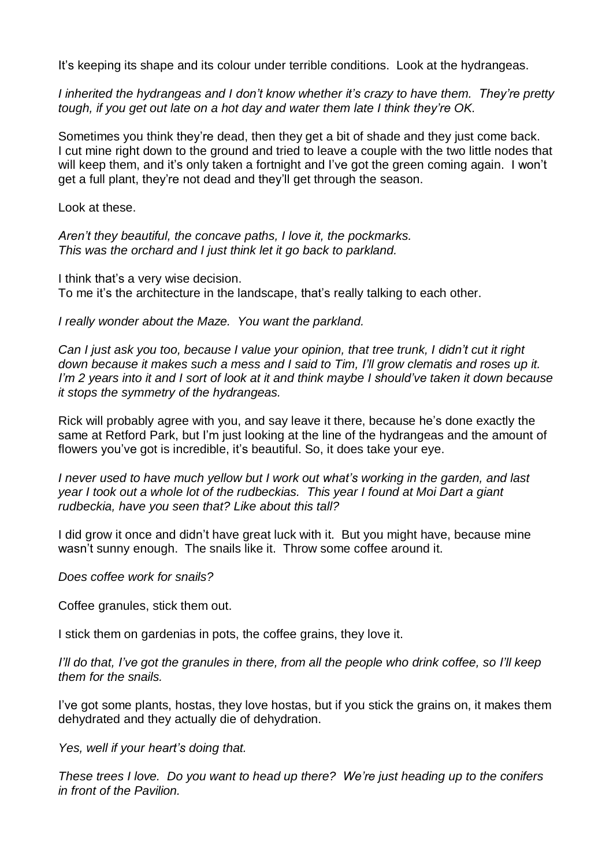It's keeping its shape and its colour under terrible conditions. Look at the hydrangeas.

*I inherited the hydrangeas and I don't know whether it's crazy to have them. They're pretty tough, if you get out late on a hot day and water them late I think they're OK.*

Sometimes you think they're dead, then they get a bit of shade and they just come back. I cut mine right down to the ground and tried to leave a couple with the two little nodes that will keep them, and it's only taken a fortnight and I've got the green coming again. I won't get a full plant, they're not dead and they'll get through the season.

Look at these.

*Aren't they beautiful, the concave paths, I love it, the pockmarks. This was the orchard and I just think let it go back to parkland.*

I think that's a very wise decision. To me it's the architecture in the landscape, that's really talking to each other.

*I really wonder about the Maze. You want the parkland.*

Can I just ask you too, because I value your opinion, that tree trunk, I didn't cut it right *down because it makes such a mess and I said to Tim, I'll grow clematis and roses up it.*  I'm 2 years into it and I sort of look at it and think maybe I should've taken it down because *it stops the symmetry of the hydrangeas.*

Rick will probably agree with you, and say leave it there, because he's done exactly the same at Retford Park, but I'm just looking at the line of the hydrangeas and the amount of flowers you've got is incredible, it's beautiful. So, it does take your eye.

*I never used to have much yellow but I work out what's working in the garden, and last year I took out a whole lot of the rudbeckias. This year I found at Moi Dart a giant rudbeckia, have you seen that? Like about this tall?*

I did grow it once and didn't have great luck with it. But you might have, because mine wasn't sunny enough. The snails like it. Throw some coffee around it.

*Does coffee work for snails?* 

Coffee granules, stick them out.

I stick them on gardenias in pots, the coffee grains, they love it.

I'll do that, I've got the granules in there, from all the people who drink coffee, so I'll keep *them for the snails.*

I've got some plants, hostas, they love hostas, but if you stick the grains on, it makes them dehydrated and they actually die of dehydration.

*Yes, well if your heart's doing that.*

*These trees I love. Do you want to head up there? We're just heading up to the conifers in front of the Pavilion.*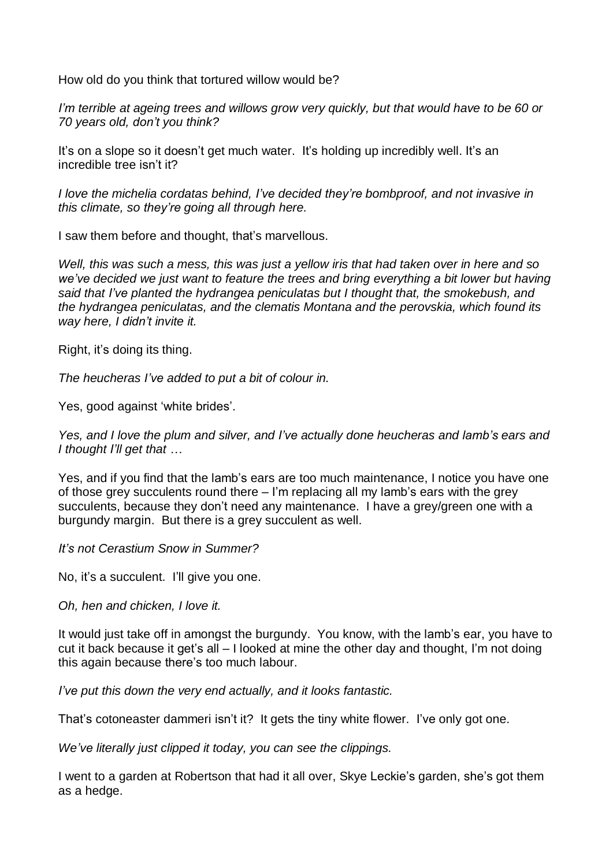How old do you think that tortured willow would be?

*I'm terrible at ageing trees and willows grow very quickly, but that would have to be 60 or 70 years old, don't you think?*

It's on a slope so it doesn't get much water. It's holding up incredibly well. It's an incredible tree isn't it?

*I love the michelia cordatas behind, I've decided they're bombproof, and not invasive in this climate, so they're going all through here.*

I saw them before and thought, that's marvellous.

Well, this was such a mess, this was just a yellow iris that had taken over in here and so *we've decided we just want to feature the trees and bring everything a bit lower but having said that I've planted the hydrangea peniculatas but I thought that, the smokebush, and the hydrangea peniculatas, and the clematis Montana and the perovskia, which found its way here, I didn't invite it.*

Right, it's doing its thing.

*The heucheras I've added to put a bit of colour in.*

Yes, good against 'white brides'.

*Yes, and I love the plum and silver, and I've actually done heucheras and lamb's ears and I thought I'll get that …*

Yes, and if you find that the lamb's ears are too much maintenance, I notice you have one of those grey succulents round there – I'm replacing all my lamb's ears with the grey succulents, because they don't need any maintenance. I have a grey/green one with a burgundy margin. But there is a grey succulent as well.

*It's not Cerastium Snow in Summer?*

No, it's a succulent. I'll give you one.

*Oh, hen and chicken, I love it.*

It would just take off in amongst the burgundy. You know, with the lamb's ear, you have to cut it back because it get's all – I looked at mine the other day and thought, I'm not doing this again because there's too much labour.

*I've put this down the very end actually, and it looks fantastic.*

That's cotoneaster dammeri isn't it? It gets the tiny white flower. I've only got one.

*We've literally just clipped it today, you can see the clippings.*

I went to a garden at Robertson that had it all over, Skye Leckie's garden, she's got them as a hedge.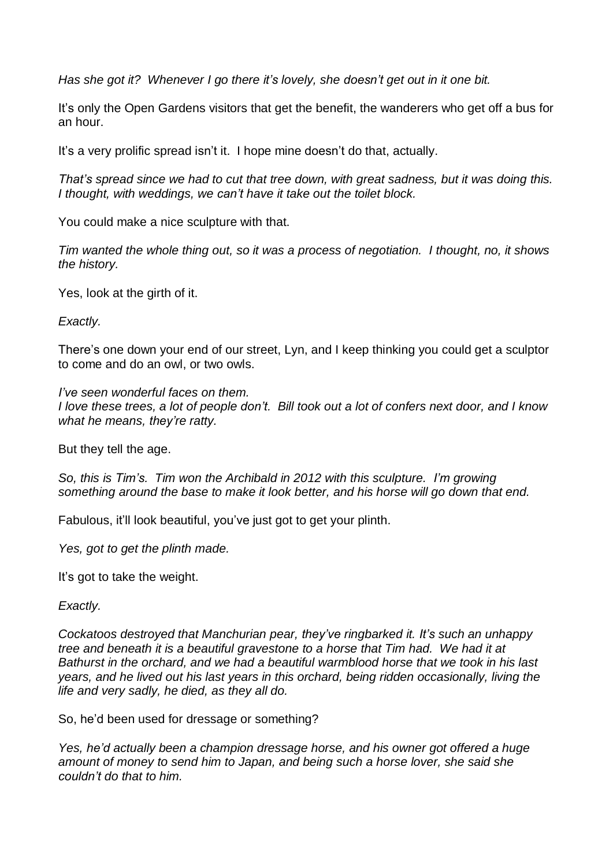*Has she got it? Whenever I go there it's lovely, she doesn't get out in it one bit.*

It's only the Open Gardens visitors that get the benefit, the wanderers who get off a bus for an hour.

It's a very prolific spread isn't it. I hope mine doesn't do that, actually.

*That's spread since we had to cut that tree down, with great sadness, but it was doing this. I thought, with weddings, we can't have it take out the toilet block.*

You could make a nice sculpture with that.

*Tim wanted the whole thing out, so it was a process of negotiation. I thought, no, it shows the history.*

Yes, look at the girth of it.

*Exactly.*

There's one down your end of our street, Lyn, and I keep thinking you could get a sculptor to come and do an owl, or two owls.

*I've seen wonderful faces on them.* I love these trees, a lot of people don't. Bill took out a lot of confers next door, and I know *what he means, they're ratty.*

But they tell the age.

*So, this is Tim's. Tim won the Archibald in 2012 with this sculpture. I'm growing something around the base to make it look better, and his horse will go down that end.*

Fabulous, it'll look beautiful, you've just got to get your plinth.

*Yes, got to get the plinth made.*

It's got to take the weight.

*Exactly.*

*Cockatoos destroyed that Manchurian pear, they've ringbarked it. It's such an unhappy tree and beneath it is a beautiful gravestone to a horse that Tim had. We had it at Bathurst in the orchard, and we had a beautiful warmblood horse that we took in his last years, and he lived out his last years in this orchard, being ridden occasionally, living the life and very sadly, he died, as they all do.*

So, he'd been used for dressage or something?

*Yes, he'd actually been a champion dressage horse, and his owner got offered a huge amount of money to send him to Japan, and being such a horse lover, she said she couldn't do that to him.*